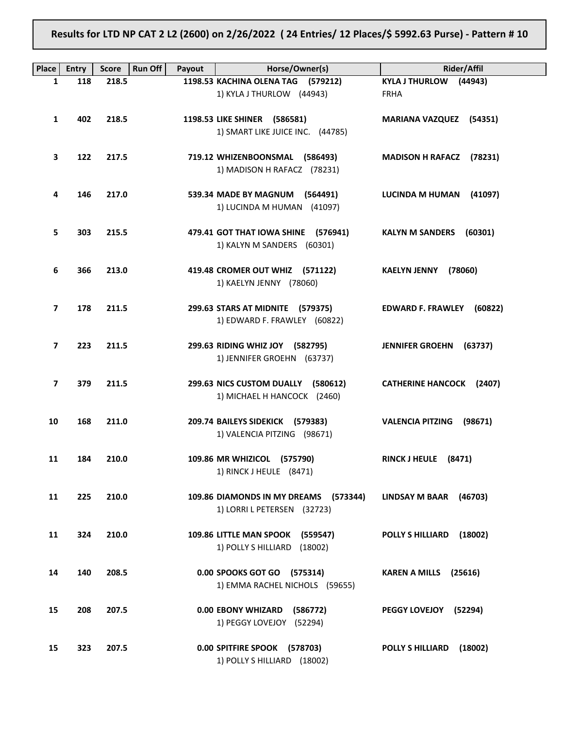Results for LTD NP CAT 2 L2 (2600) on 2/26/2022 ( 24 Entries/ 12 Places/\$ 5992.63 Purse) - Pattern # 10

| <b>Place</b>   | <b>Entry</b> | <b>Score</b> | <b>Run Off</b><br>Payout | Horse/Owner(s)                        | Rider/Affil                        |
|----------------|--------------|--------------|--------------------------|---------------------------------------|------------------------------------|
| 1              | 118          | 218.5        |                          | 1198.53 KACHINA OLENA TAG (579212)    | KYLA J THURLOW (44943)             |
|                |              |              |                          | 1) KYLA J THURLOW (44943)             | <b>FRHA</b>                        |
|                |              |              |                          |                                       |                                    |
| 1              | 402          | 218.5        |                          | 1198.53 LIKE SHINER (586581)          | <b>MARIANA VAZQUEZ (54351)</b>     |
|                |              |              |                          | 1) SMART LIKE JUICE INC. (44785)      |                                    |
|                |              |              |                          |                                       |                                    |
| 3              | 122          | 217.5        |                          | 719.12 WHIZENBOONSMAL (586493)        | MADISON H RAFACZ (78231)           |
|                |              |              |                          | 1) MADISON H RAFACZ (78231)           |                                    |
|                |              |              |                          |                                       |                                    |
| 4              | 146          | 217.0        |                          | 539.34 MADE BY MAGNUM (564491)        | LUCINDA M HUMAN<br>(41097)         |
|                |              |              |                          | 1) LUCINDA M HUMAN (41097)            |                                    |
| 5              | 303          | 215.5        |                          | 479.41 GOT THAT IOWA SHINE (576941)   | <b>KALYN M SANDERS</b><br>(60301)  |
|                |              |              |                          | 1) KALYN M SANDERS (60301)            |                                    |
|                |              |              |                          |                                       |                                    |
| 6              | 366          | 213.0        |                          | 419.48 CROMER OUT WHIZ (571122)       | <b>KAELYN JENNY</b><br>(78060)     |
|                |              |              |                          | 1) KAELYN JENNY (78060)               |                                    |
|                |              |              |                          |                                       |                                    |
| 7              | 178          | 211.5        |                          | 299.63 STARS AT MIDNITE (579375)      | EDWARD F. FRAWLEY (60822)          |
|                |              |              |                          | 1) EDWARD F. FRAWLEY (60822)          |                                    |
|                |              |              |                          |                                       |                                    |
| 7              | 223          | 211.5        |                          | 299.63 RIDING WHIZ JOY (582795)       | <b>JENNIFER GROEHN</b><br>(63737)  |
|                |              |              |                          | 1) JENNIFER GROEHN (63737)            |                                    |
|                |              |              |                          |                                       |                                    |
| $\overline{7}$ | 379          | 211.5        |                          | 299.63 NICS CUSTOM DUALLY (580612)    | <b>CATHERINE HANCOCK (2407)</b>    |
|                |              |              |                          | 1) MICHAEL H HANCOCK (2460)           |                                    |
|                |              |              |                          |                                       |                                    |
| 10             | 168          | 211.0        |                          | 209.74 BAILEYS SIDEKICK (579383)      | <b>VALENCIA PITZING</b><br>(98671) |
|                |              |              |                          | 1) VALENCIA PITZING (98671)           |                                    |
|                |              |              |                          |                                       |                                    |
| 11             | 184          | 210.0        |                          | 109.86 MR WHIZICOL (575790)           | RINCK J HEULE (8471)               |
|                |              |              |                          | 1) RINCK J HEULE (8471)               |                                    |
|                |              | 210.0        |                          | 109.86 DIAMONDS IN MY DREAMS          |                                    |
| 11             | 225          |              |                          | (573344)                              | <b>LINDSAY M BAAR</b><br>(46703)   |
|                |              |              |                          | 1) LORRI L PETERSEN (32723)           |                                    |
| 11             | 324          | 210.0        |                          | 109.86 LITTLE MAN SPOOK<br>(559547)   | <b>POLLY S HILLIARD</b><br>(18002) |
|                |              |              |                          | 1) POLLY S HILLIARD<br>(18002)        |                                    |
|                |              |              |                          |                                       |                                    |
| 14             | 140          | 208.5        |                          | 0.00 SPOOKS GOT GO (575314)           | <b>KAREN A MILLS</b><br>(25616)    |
|                |              |              |                          | 1) EMMA RACHEL NICHOLS (59655)        |                                    |
|                |              |              |                          |                                       |                                    |
| 15             | 208          | 207.5        |                          | <b>0.00 EBONY WHIZARD</b><br>(586772) | PEGGY LOVEJOY<br>(52294)           |
|                |              |              |                          | 1) PEGGY LOVEJOY (52294)              |                                    |
|                |              |              |                          |                                       |                                    |
| 15             | 323          | 207.5        |                          | 0.00 SPITFIRE SPOOK (578703)          | <b>POLLY S HILLIARD</b><br>(18002) |
|                |              |              |                          | 1) POLLY S HILLIARD (18002)           |                                    |
|                |              |              |                          |                                       |                                    |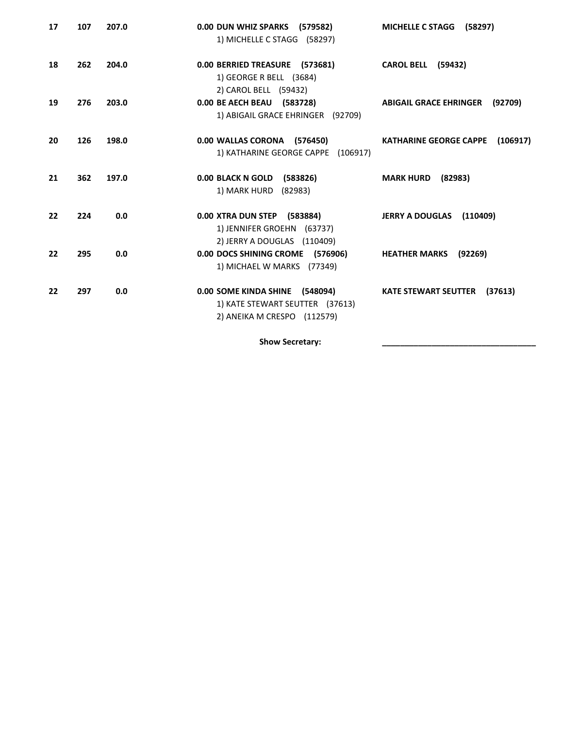| 17 | 107 | 207.0 | 0.00 DUN WHIZ SPARKS (579582)<br>1) MICHELLE C STAGG (58297)                                     | <b>MICHELLE C STAGG</b><br>(58297)        |
|----|-----|-------|--------------------------------------------------------------------------------------------------|-------------------------------------------|
| 18 | 262 | 204.0 | 0.00 BERRIED TREASURE (573681)<br>1) GEORGE R BELL (3684)<br>2) CAROL BELL (59432)               | <b>CAROL BELL (59432)</b>                 |
| 19 | 276 | 203.0 | 0.00 BE AECH BEAU (583728)<br>1) ABIGAIL GRACE EHRINGER (92709)                                  | (92709)<br><b>ABIGAIL GRACE EHRINGER</b>  |
| 20 | 126 | 198.0 | 0.00 WALLAS CORONA (576450)<br>1) KATHARINE GEORGE CAPPE (106917)                                | <b>KATHARINE GEORGE CAPPE</b><br>(106917) |
| 21 | 362 | 197.0 | 0.00 BLACK N GOLD (583826)<br>1) MARK HURD (82983)                                               | <b>MARK HURD</b><br>(82983)               |
| 22 | 224 | 0.0   | 0.00 XTRA DUN STEP (583884)<br>1) JENNIFER GROEHN (63737)<br>2) JERRY A DOUGLAS (110409)         | JERRY A DOUGLAS (110409)                  |
| 22 | 295 | 0.0   | 0.00 DOCS SHINING CROME (576906)<br>1) MICHAEL W MARKS (77349)                                   | <b>HEATHER MARKS</b><br>(92269)           |
| 22 | 297 | 0.0   | 0.00 SOME KINDA SHINE (548094)<br>1) KATE STEWART SEUTTER (37613)<br>2) ANEIKA M CRESPO (112579) | <b>KATE STEWART SEUTTER</b><br>(37613)    |

Show Secretary: